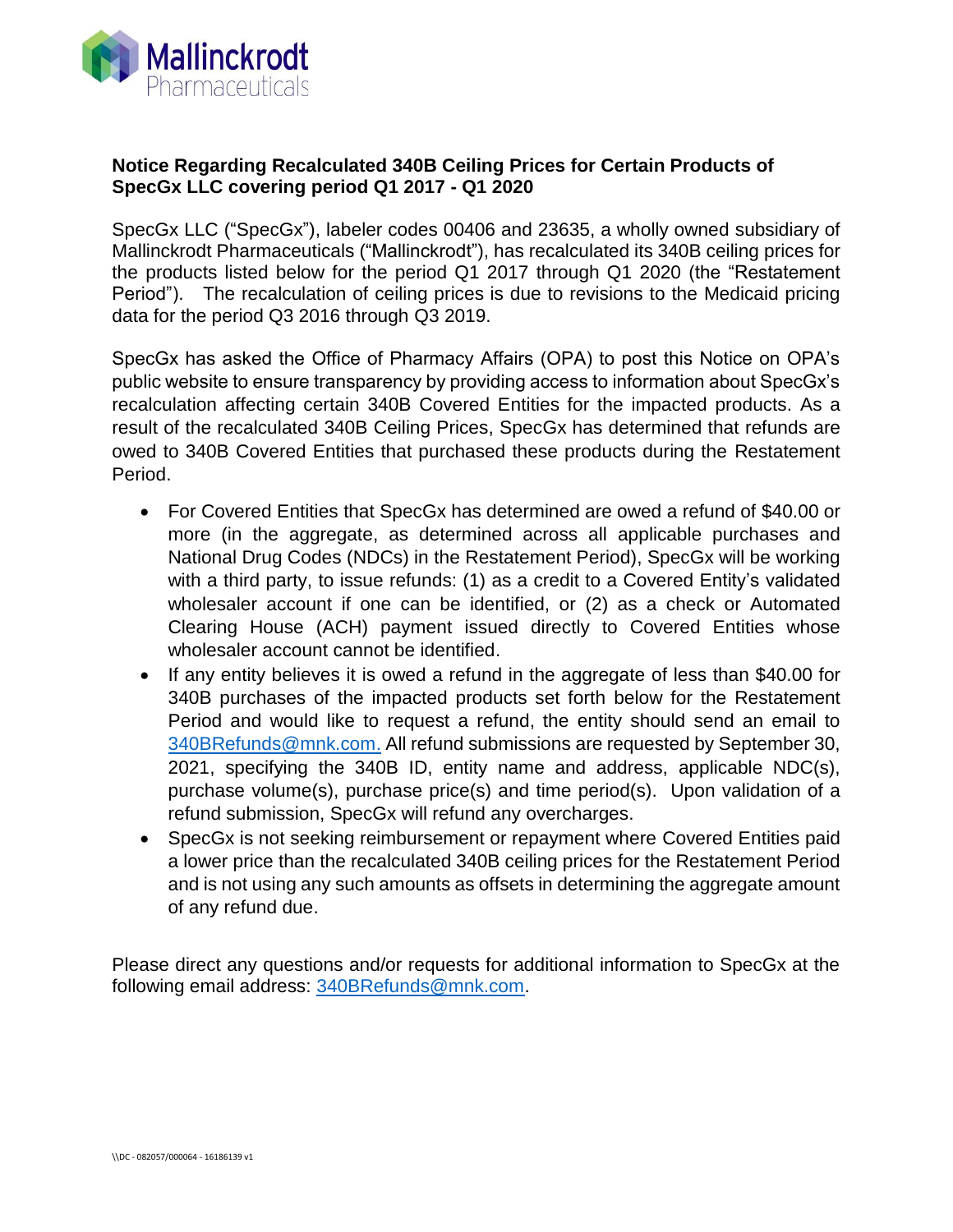

## **Notice Regarding Recalculated 340B Ceiling Prices for Certain Products of SpecGx LLC covering period Q1 2017 - Q1 2020**

SpecGx LLC ("SpecGx"), labeler codes 00406 and 23635, a wholly owned subsidiary of Mallinckrodt Pharmaceuticals ("Mallinckrodt"), has recalculated its 340B ceiling prices for the products listed below for the period Q1 2017 through Q1 2020 (the "Restatement Period"). The recalculation of ceiling prices is due to revisions to the Medicaid pricing data for the period Q3 2016 through Q3 2019.

SpecGx has asked the Office of Pharmacy Affairs (OPA) to post this Notice on OPA's public website to ensure transparency by providing access to information about SpecGx's recalculation affecting certain 340B Covered Entities for the impacted products. As a result of the recalculated 340B Ceiling Prices, SpecGx has determined that refunds are owed to 340B Covered Entities that purchased these products during the Restatement Period.

- For Covered Entities that SpecGx has determined are owed a refund of \$40.00 or more (in the aggregate, as determined across all applicable purchases and National Drug Codes (NDCs) in the Restatement Period), SpecGx will be working with a third party, to issue refunds: (1) as a credit to a Covered Entity's validated wholesaler account if one can be identified, or (2) as a check or Automated Clearing House (ACH) payment issued directly to Covered Entities whose wholesaler account cannot be identified.
- If any entity believes it is owed a refund in the aggregate of less than \$40.00 for 340B purchases of the impacted products set forth below for the Restatement Period and would like to request a refund, the entity should send an email to [340BRefunds@mnk.com.](mailto:340BRefunds@mnk.com) All refund submissions are requested by September 30, 2021, specifying the 340B ID, entity name and address, applicable NDC(s), purchase volume(s), purchase price(s) and time period(s). Upon validation of a refund submission, SpecGx will refund any overcharges.
- SpecGx is not seeking reimbursement or repayment where Covered Entities paid a lower price than the recalculated 340B ceiling prices for the Restatement Period and is not using any such amounts as offsets in determining the aggregate amount of any refund due.

Please direct any questions and/or requests for additional information to SpecGx at the following email address: [340BRefunds@mnk.com.](mailto:340BRefunds@mnk.com)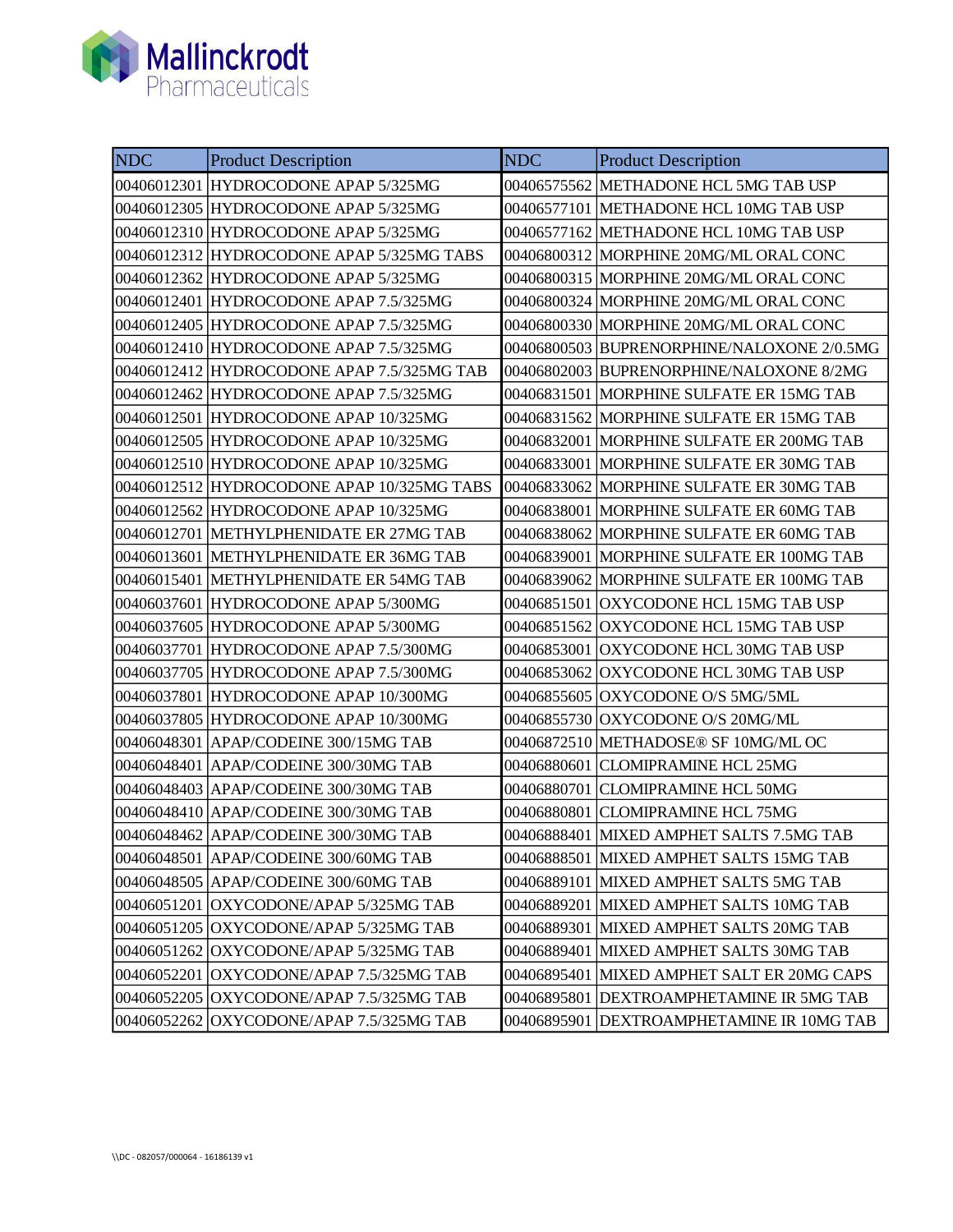

| <b>NDC</b> | <b>Product Description</b>                 | <b>NDC</b>  | <b>Product Description</b>                 |
|------------|--------------------------------------------|-------------|--------------------------------------------|
|            | 00406012301 HYDROCODONE APAP 5/325MG       | 00406575562 | METHADONE HCL 5MG TAB USP                  |
|            | 00406012305 HYDROCODONE APAP 5/325MG       |             | 00406577101 METHADONE HCL 10MG TAB USP     |
|            | 00406012310 HYDROCODONE APAP 5/325MG       |             | 00406577162 METHADONE HCL 10MG TAB USP     |
|            | 00406012312 HYDROCODONE APAP 5/325MG TABS  |             | 00406800312 MORPHINE 20MG/ML ORAL CONC     |
|            | 00406012362 HYDROCODONE APAP 5/325MG       |             | 00406800315  MORPHINE 20MG/ML ORAL CONC    |
|            | 00406012401 HYDROCODONE APAP 7.5/325MG     |             | 00406800324 MORPHINE 20MG/ML ORAL CONC     |
|            | 00406012405 HYDROCODONE APAP 7.5/325MG     |             | 00406800330 MORPHINE 20MG/ML ORAL CONC     |
|            | 00406012410 HYDROCODONE APAP 7.5/325MG     |             | 00406800503 BUPRENORPHINE/NALOXONE 2/0.5MG |
|            | 00406012412 HYDROCODONE APAP 7.5/325MG TAB |             | 00406802003  BUPRENORPHINE/NALOXONE 8/2MG  |
|            | 00406012462 HYDROCODONE APAP 7.5/325MG     |             | 00406831501 MORPHINE SULFATE ER 15MG TAB   |
|            | 00406012501 HYDROCODONE APAP 10/325MG      | 00406831562 | MORPHINE SULFATE ER 15MG TAB               |
|            | 00406012505 HYDROCODONE APAP 10/325MG      |             | 00406832001 MORPHINE SULFATE ER 200MG TAB  |
|            | 00406012510 HYDROCODONE APAP 10/325MG      | 00406833001 | MORPHINE SULFATE ER 30MG TAB               |
|            | 00406012512 HYDROCODONE APAP 10/325MG TABS | 00406833062 | MORPHINE SULFATE ER 30MG TAB               |
|            | 00406012562 HYDROCODONE APAP 10/325MG      |             | 00406838001 MORPHINE SULFATE ER 60MG TAB   |
|            | 00406012701 METHYLPHENIDATE ER 27MG TAB    | 00406838062 | MORPHINE SULFATE ER 60MG TAB               |
|            | 00406013601 METHYLPHENIDATE ER 36MG TAB    | 00406839001 | MORPHINE SULFATE ER 100MG TAB              |
|            | 00406015401 METHYLPHENIDATE ER 54MG TAB    | 00406839062 | MORPHINE SULFATE ER 100MG TAB              |
|            | 00406037601 HYDROCODONE APAP 5/300MG       |             | 00406851501 OXYCODONE HCL 15MG TAB USP     |
|            | 00406037605 HYDROCODONE APAP 5/300MG       | 00406851562 | OXYCODONE HCL 15MG TAB USP                 |
|            | 00406037701 HYDROCODONE APAP 7.5/300MG     | 00406853001 | OXYCODONE HCL 30MG TAB USP                 |
|            | 00406037705 HYDROCODONE APAP 7.5/300MG     | 00406853062 | OXYCODONE HCL 30MG TAB USP                 |
|            | 00406037801 HYDROCODONE APAP 10/300MG      | 00406855605 | OXYCODONE O/S 5MG/5ML                      |
|            | 00406037805 HYDROCODONE APAP 10/300MG      | 00406855730 | OXYCODONE O/S 20MG/ML                      |
|            | 00406048301 APAP/CODEINE 300/15MG TAB      | 00406872510 | METHADOSE® SF 10MG/ML OC                   |
|            | 00406048401 APAP/CODEINE 300/30MG TAB      | 00406880601 | <b>CLOMIPRAMINE HCL 25MG</b>               |
|            | 00406048403 APAP/CODEINE 300/30MG TAB      | 00406880701 | <b>CLOMIPRAMINE HCL 50MG</b>               |
|            | 00406048410 APAP/CODEINE 300/30MG TAB      | 00406880801 | <b>CLOMIPRAMINE HCL 75MG</b>               |
|            | 00406048462 APAP/CODEINE 300/30MG TAB      |             | 00406888401 MIXED AMPHET SALTS 7.5MG TAB   |
|            | 00406048501 APAP/CODEINE 300/60MG TAB      | 00406888501 | MIXED AMPHET SALTS 15MG TAB                |
|            | 00406048505 APAP/CODEINE 300/60MG TAB      | 00406889101 | MIXED AMPHET SALTS 5MG TAB                 |
|            | 00406051201 OXYCODONE/APAP 5/325MG TAB     | 00406889201 | MIXED AMPHET SALTS 10MG TAB                |
|            | 00406051205   OXYCODONE/APAP 5/325MG TAB   | 00406889301 | MIXED AMPHET SALTS 20MG TAB                |
|            | 00406051262 OXYCODONE/APAP 5/325MG TAB     | 00406889401 | MIXED AMPHET SALTS 30MG TAB                |
|            | 00406052201   OXYCODONE/APAP 7.5/325MG TAB | 00406895401 | MIXED AMPHET SALT ER 20MG CAPS             |
|            | 00406052205 OXYCODONE/APAP 7.5/325MG TAB   | 00406895801 | DEXTROAMPHETAMINE IR 5MG TAB               |
|            | 00406052262 OXYCODONE/APAP 7.5/325MG TAB   | 00406895901 | <b>DEXTROAMPHETAMINE IR 10MG TAB</b>       |